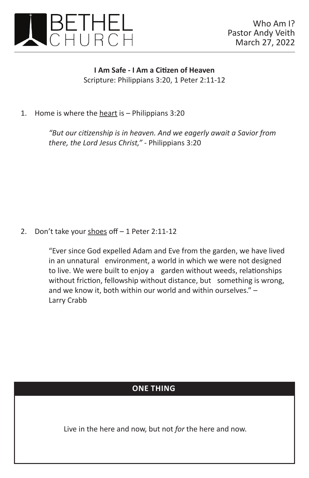

**I Am Safe - I Am a Citizen of Heaven** Scripture: Philippians 3:20, 1 Peter 2:11-12

1. Home is where the heart is – Philippians 3:20

*"But our citizenship is in heaven. And we eagerly await a Savior from there, the Lord Jesus Christ," -* Philippians 3:20

2. Don't take your shoes off  $-1$  Peter 2:11-12

"Ever since God expelled Adam and Eve from the garden, we have lived in an unnatural environment, a world in which we were not designed to live. We were built to enjoy a garden without weeds, relationships without friction, fellowship without distance, but something is wrong, and we know it, both within our world and within ourselves." – Larry Crabb

## **ONE THING**

Live in the here and now, but not *for* the here and now.